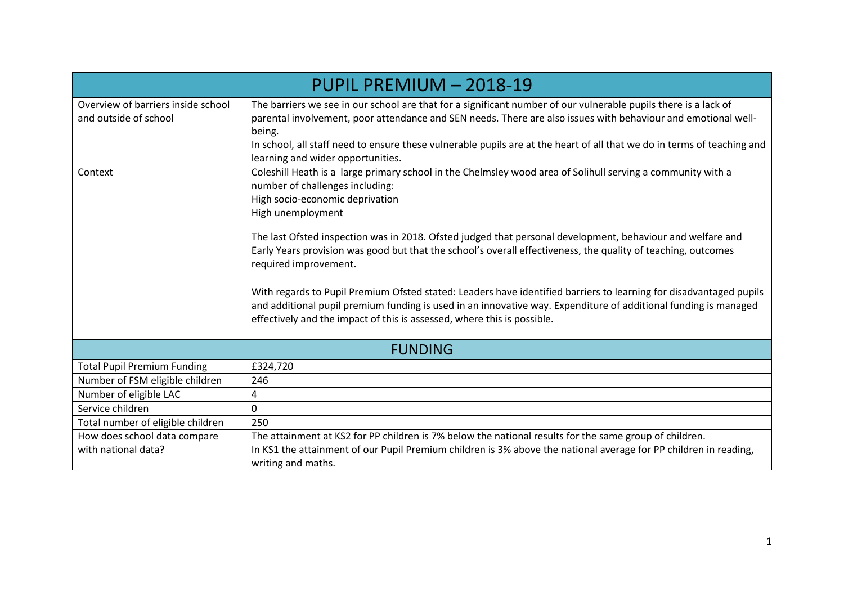| PUPIL PREMIUM - 2018-19                                     |                                                                                                                                                                                                                                                                                                                                                                                                            |  |  |  |  |
|-------------------------------------------------------------|------------------------------------------------------------------------------------------------------------------------------------------------------------------------------------------------------------------------------------------------------------------------------------------------------------------------------------------------------------------------------------------------------------|--|--|--|--|
| Overview of barriers inside school<br>and outside of school | The barriers we see in our school are that for a significant number of our vulnerable pupils there is a lack of<br>parental involvement, poor attendance and SEN needs. There are also issues with behaviour and emotional well-<br>being.<br>In school, all staff need to ensure these vulnerable pupils are at the heart of all that we do in terms of teaching and<br>learning and wider opportunities. |  |  |  |  |
| Context                                                     | Coleshill Heath is a large primary school in the Chelmsley wood area of Solihull serving a community with a<br>number of challenges including:<br>High socio-economic deprivation<br>High unemployment                                                                                                                                                                                                     |  |  |  |  |
|                                                             | The last Ofsted inspection was in 2018. Ofsted judged that personal development, behaviour and welfare and<br>Early Years provision was good but that the school's overall effectiveness, the quality of teaching, outcomes<br>required improvement.                                                                                                                                                       |  |  |  |  |
|                                                             | With regards to Pupil Premium Ofsted stated: Leaders have identified barriers to learning for disadvantaged pupils<br>and additional pupil premium funding is used in an innovative way. Expenditure of additional funding is managed<br>effectively and the impact of this is assessed, where this is possible.                                                                                           |  |  |  |  |
|                                                             | <b>FUNDING</b>                                                                                                                                                                                                                                                                                                                                                                                             |  |  |  |  |
| <b>Total Pupil Premium Funding</b>                          | £324,720                                                                                                                                                                                                                                                                                                                                                                                                   |  |  |  |  |
| Number of FSM eligible children                             | 246                                                                                                                                                                                                                                                                                                                                                                                                        |  |  |  |  |
| Number of eligible LAC                                      | 4                                                                                                                                                                                                                                                                                                                                                                                                          |  |  |  |  |
| Service children                                            | $\Omega$                                                                                                                                                                                                                                                                                                                                                                                                   |  |  |  |  |
| Total number of eligible children                           | 250                                                                                                                                                                                                                                                                                                                                                                                                        |  |  |  |  |
| How does school data compare<br>with national data?         | The attainment at KS2 for PP children is 7% below the national results for the same group of children.<br>In KS1 the attainment of our Pupil Premium children is 3% above the national average for PP children in reading,<br>writing and maths.                                                                                                                                                           |  |  |  |  |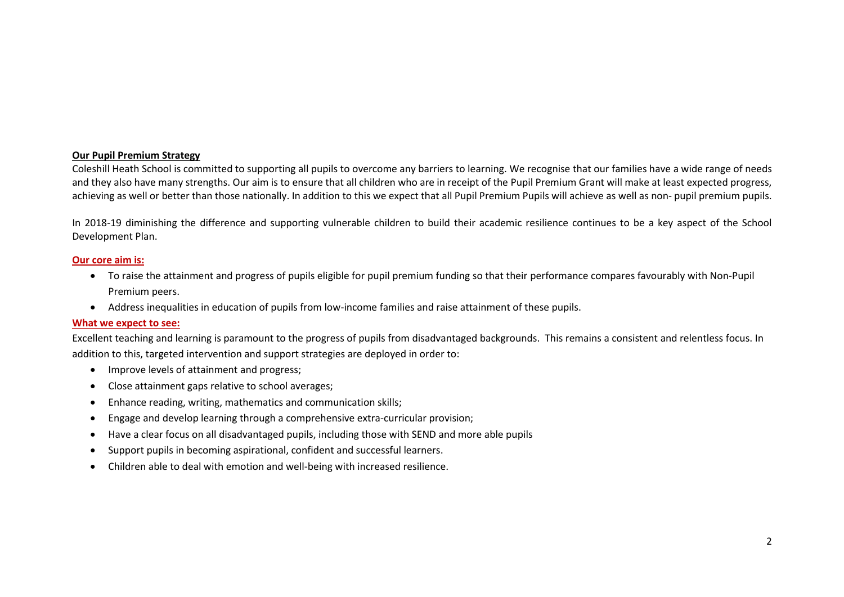#### **Our Pupil Premium Strategy**

Coleshill Heath School is committed to supporting all pupils to overcome any barriers to learning. We recognise that our families have a wide range of needs and they also have many strengths. Our aim is to ensure that all children who are in receipt of the Pupil Premium Grant will make at least expected progress, achieving as well or better than those nationally. In addition to this we expect that all Pupil Premium Pupils will achieve as well as non- pupil premium pupils.

In 2018-19 diminishing the difference and supporting vulnerable children to build their academic resilience continues to be a key aspect of the School Development Plan.

#### **Our core aim is:**

- To raise the attainment and progress of pupils eligible for pupil premium funding so that their performance compares favourably with Non-Pupil Premium peers.
- Address inequalities in education of pupils from low-income families and raise attainment of these pupils.

#### **What we expect to see:**

Excellent teaching and learning is paramount to the progress of pupils from disadvantaged backgrounds. This remains a consistent and relentless focus. In addition to this, targeted intervention and support strategies are deployed in order to:

- Improve levels of attainment and progress;
- Close attainment gaps relative to school averages;
- Enhance reading, writing, mathematics and communication skills;
- Engage and develop learning through a comprehensive extra-curricular provision;
- Have a clear focus on all disadvantaged pupils, including those with SEND and more able pupils
- Support pupils in becoming aspirational, confident and successful learners.
- Children able to deal with emotion and well-being with increased resilience.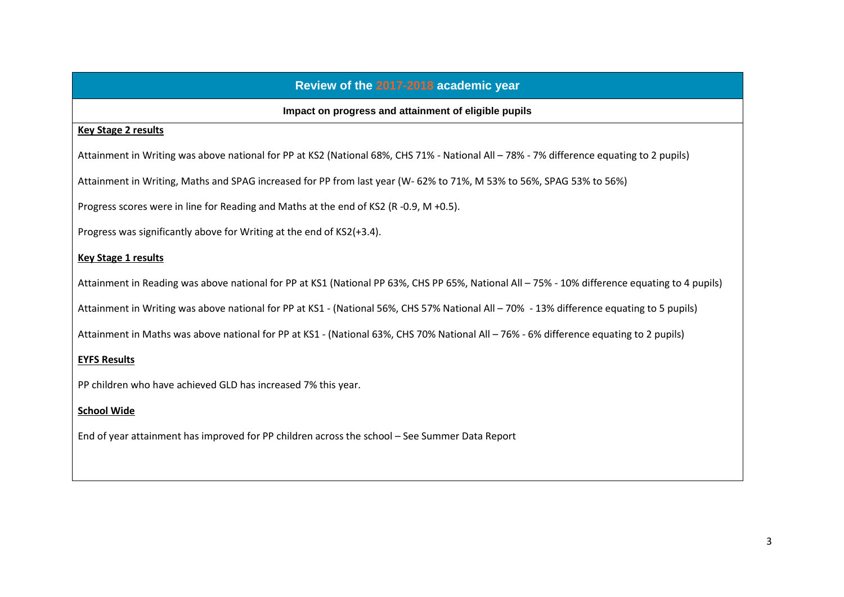# **Review of the 2017-2018 academic year**

## **Impact on progress and attainment of eligible pupils**

## **Key Stage 2 results**

Attainment in Writing was above national for PP at KS2 (National 68%, CHS 71% - National All – 78% - 7% difference equating to 2 pupils)

Attainment in Writing, Maths and SPAG increased for PP from last year (W- 62% to 71%, M 53% to 56%, SPAG 53% to 56%)

Progress scores were in line for Reading and Maths at the end of KS2 (R -0.9, M +0.5).

Progress was significantly above for Writing at the end of KS2(+3.4).

# **Key Stage 1 results**

Attainment in Reading was above national for PP at KS1 (National PP 63%, CHS PP 65%, National All – 75% - 10% difference equating to 4 pupils)

Attainment in Writing was above national for PP at KS1 - (National 56%, CHS 57% National All – 70% - 13% difference equating to 5 pupils)

Attainment in Maths was above national for PP at KS1 - (National 63%, CHS 70% National All – 76% - 6% difference equating to 2 pupils)

## **EYFS Results**

PP children who have achieved GLD has increased 7% this year.

## **School Wide**

End of year attainment has improved for PP children across the school – See Summer Data Report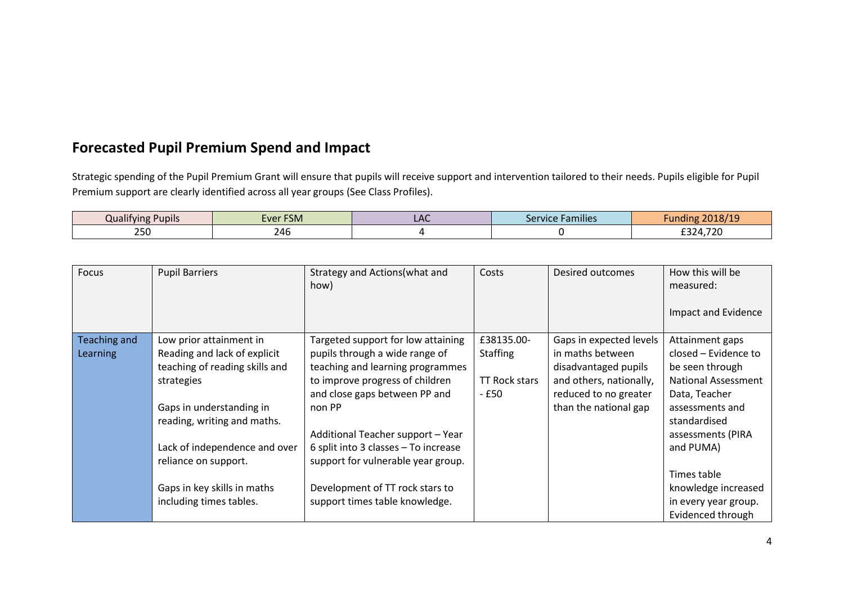# **Forecasted Pupil Premium Spend and Impact**

Strategic spending of the Pupil Premium Grant will ensure that pupils will receive support and intervention tailored to their needs. Pupils eligible for Pupil Premium support are clearly identified across all year groups (See Class Profiles).

| <b>Pupils</b><br>Qualitying | Ever FSM   | ᇅ | <b>Families</b><br>Service | $\frac{1}{2}$<br>$-018$                                                            |
|-----------------------------|------------|---|----------------------------|------------------------------------------------------------------------------------|
| 2E<br>∠J∪                   | ን ለ6<br>ுப |   |                            | $\neg \neg \neg$<br>$\sim$ $\sim$ $\sim$<br>. / 2U<br>$^{\prime\prime}$<br>7<br>-- |

| Focus           | <b>Pupil Barriers</b>          | Strategy and Actions (what and<br>how) | Costs                | Desired outcomes        | How this will be<br>measured: |
|-----------------|--------------------------------|----------------------------------------|----------------------|-------------------------|-------------------------------|
|                 |                                |                                        |                      |                         | Impact and Evidence           |
| Teaching and    | Low prior attainment in        | Targeted support for low attaining     | £38135.00-           | Gaps in expected levels | Attainment gaps               |
| <b>Learning</b> | Reading and lack of explicit   | pupils through a wide range of         | <b>Staffing</b>      | in maths between        | closed – Evidence to          |
|                 | teaching of reading skills and | teaching and learning programmes       |                      | disadvantaged pupils    | be seen through               |
|                 | strategies                     | to improve progress of children        | <b>TT Rock stars</b> | and others, nationally, | <b>National Assessment</b>    |
|                 |                                | and close gaps between PP and          | - £50                | reduced to no greater   | Data, Teacher                 |
|                 | Gaps in understanding in       | non PP                                 |                      | than the national gap   | assessments and               |
|                 | reading, writing and maths.    |                                        |                      |                         | standardised                  |
|                 |                                | Additional Teacher support - Year      |                      |                         | assessments (PIRA             |
|                 | Lack of independence and over  | 6 split into 3 classes - To increase   |                      |                         | and PUMA)                     |
|                 | reliance on support.           | support for vulnerable year group.     |                      |                         |                               |
|                 |                                |                                        |                      |                         | Times table                   |
|                 | Gaps in key skills in maths    | Development of TT rock stars to        |                      |                         | knowledge increased           |
|                 | including times tables.        | support times table knowledge.         |                      |                         | in every year group.          |
|                 |                                |                                        |                      |                         | Evidenced through             |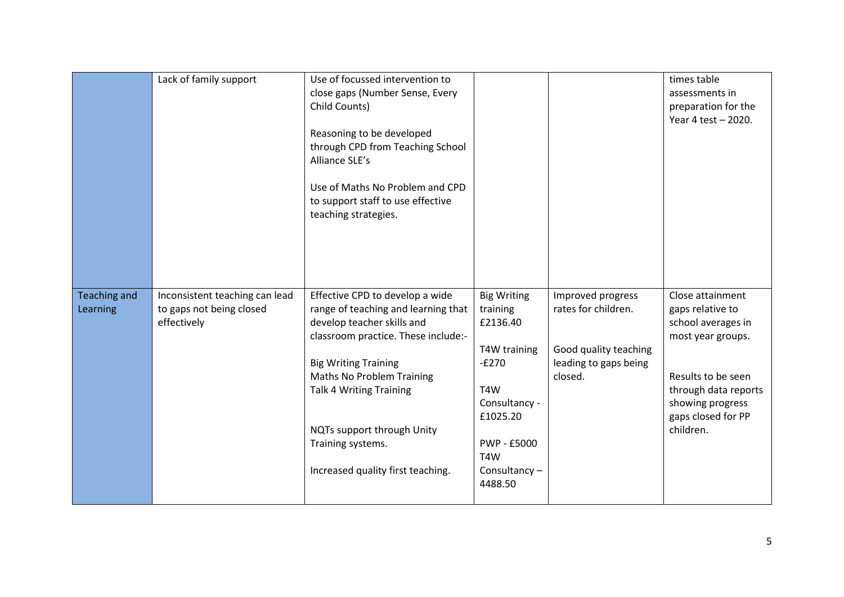|                     | Lack of family support         | Use of focussed intervention to     |                    |                       | times table          |
|---------------------|--------------------------------|-------------------------------------|--------------------|-----------------------|----------------------|
|                     |                                | close gaps (Number Sense, Every     |                    |                       | assessments in       |
|                     |                                | Child Counts)                       |                    |                       | preparation for the  |
|                     |                                |                                     |                    |                       | Year 4 test - 2020.  |
|                     |                                | Reasoning to be developed           |                    |                       |                      |
|                     |                                | through CPD from Teaching School    |                    |                       |                      |
|                     |                                |                                     |                    |                       |                      |
|                     |                                | Alliance SLE's                      |                    |                       |                      |
|                     |                                | Use of Maths No Problem and CPD     |                    |                       |                      |
|                     |                                | to support staff to use effective   |                    |                       |                      |
|                     |                                | teaching strategies.                |                    |                       |                      |
|                     |                                |                                     |                    |                       |                      |
|                     |                                |                                     |                    |                       |                      |
|                     |                                |                                     |                    |                       |                      |
|                     |                                |                                     |                    |                       |                      |
|                     |                                |                                     |                    |                       |                      |
|                     |                                |                                     |                    |                       |                      |
| <b>Teaching and</b> | Inconsistent teaching can lead | Effective CPD to develop a wide     | <b>Big Writing</b> | Improved progress     | Close attainment     |
| Learning            | to gaps not being closed       | range of teaching and learning that | training           | rates for children.   | gaps relative to     |
|                     | effectively                    | develop teacher skills and          | £2136.40           |                       | school averages in   |
|                     |                                | classroom practice. These include:- |                    |                       | most year groups.    |
|                     |                                |                                     | T4W training       | Good quality teaching |                      |
|                     |                                | <b>Big Writing Training</b>         | $-E270$            | leading to gaps being |                      |
|                     |                                | Maths No Problem Training           |                    | closed.               | Results to be seen   |
|                     |                                | <b>Talk 4 Writing Training</b>      | T4W                |                       | through data reports |
|                     |                                |                                     |                    |                       |                      |
|                     |                                |                                     | Consultancy -      |                       | showing progress     |
|                     |                                |                                     | £1025.20           |                       | gaps closed for PP   |
|                     |                                | NQTs support through Unity          |                    |                       | children.            |
|                     |                                | Training systems.                   | PWP - £5000        |                       |                      |
|                     |                                |                                     | T4W                |                       |                      |
|                     |                                |                                     |                    |                       |                      |
|                     |                                | Increased quality first teaching.   | Consultancy-       |                       |                      |
|                     |                                |                                     | 4488.50            |                       |                      |
|                     |                                |                                     |                    |                       |                      |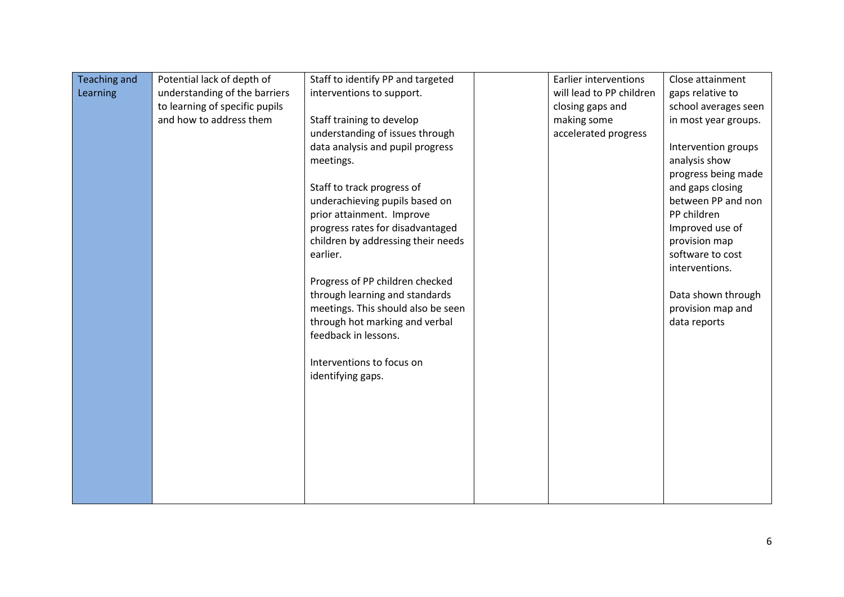| <b>Teaching and</b> | Potential lack of depth of     | Staff to identify PP and targeted  | <b>Earlier interventions</b> | Close attainment     |
|---------------------|--------------------------------|------------------------------------|------------------------------|----------------------|
| Learning            | understanding of the barriers  | interventions to support.          | will lead to PP children     | gaps relative to     |
|                     | to learning of specific pupils |                                    | closing gaps and             | school averages seen |
|                     | and how to address them        | Staff training to develop          | making some                  | in most year groups. |
|                     |                                | understanding of issues through    | accelerated progress         |                      |
|                     |                                | data analysis and pupil progress   |                              | Intervention groups  |
|                     |                                | meetings.                          |                              | analysis show        |
|                     |                                |                                    |                              | progress being made  |
|                     |                                | Staff to track progress of         |                              | and gaps closing     |
|                     |                                | underachieving pupils based on     |                              | between PP and non   |
|                     |                                | prior attainment. Improve          |                              | PP children          |
|                     |                                | progress rates for disadvantaged   |                              | Improved use of      |
|                     |                                | children by addressing their needs |                              | provision map        |
|                     |                                | earlier.                           |                              | software to cost     |
|                     |                                |                                    |                              | interventions.       |
|                     |                                | Progress of PP children checked    |                              |                      |
|                     |                                | through learning and standards     |                              | Data shown through   |
|                     |                                | meetings. This should also be seen |                              | provision map and    |
|                     |                                | through hot marking and verbal     |                              | data reports         |
|                     |                                | feedback in lessons.               |                              |                      |
|                     |                                |                                    |                              |                      |
|                     |                                | Interventions to focus on          |                              |                      |
|                     |                                | identifying gaps.                  |                              |                      |
|                     |                                |                                    |                              |                      |
|                     |                                |                                    |                              |                      |
|                     |                                |                                    |                              |                      |
|                     |                                |                                    |                              |                      |
|                     |                                |                                    |                              |                      |
|                     |                                |                                    |                              |                      |
|                     |                                |                                    |                              |                      |
|                     |                                |                                    |                              |                      |
|                     |                                |                                    |                              |                      |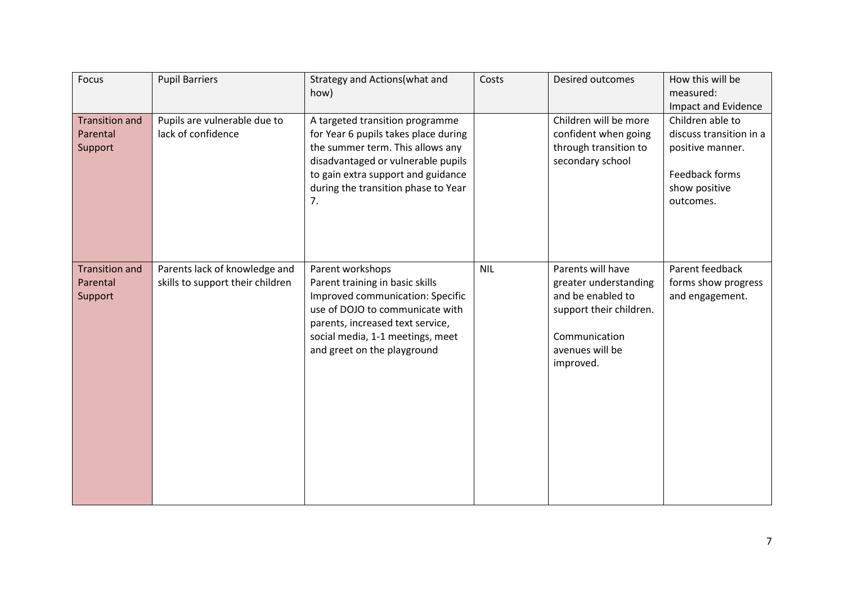| Focus                                        | <b>Pupil Barriers</b>                                             | Strategy and Actions(what and<br>how)                                                                                                                                                                                                | Costs      | Desired outcomes                                                                                                                            | How this will be<br>measured:<br>Impact and Evidence                                                            |
|----------------------------------------------|-------------------------------------------------------------------|--------------------------------------------------------------------------------------------------------------------------------------------------------------------------------------------------------------------------------------|------------|---------------------------------------------------------------------------------------------------------------------------------------------|-----------------------------------------------------------------------------------------------------------------|
| <b>Transition and</b><br>Parental<br>Support | Pupils are vulnerable due to<br>lack of confidence                | A targeted transition programme<br>for Year 6 pupils takes place during<br>the summer term. This allows any<br>disadvantaged or vulnerable pupils<br>to gain extra support and guidance<br>during the transition phase to Year<br>7. |            | Children will be more<br>confident when going<br>through transition to<br>secondary school                                                  | Children able to<br>discuss transition in a<br>positive manner.<br>Feedback forms<br>show positive<br>outcomes. |
| <b>Transition and</b><br>Parental<br>Support | Parents lack of knowledge and<br>skills to support their children | Parent workshops<br>Parent training in basic skills<br>Improved communication: Specific<br>use of DOJO to communicate with<br>parents, increased text service,<br>social media, 1-1 meetings, meet<br>and greet on the playground    | <b>NIL</b> | Parents will have<br>greater understanding<br>and be enabled to<br>support their children.<br>Communication<br>avenues will be<br>improved. | Parent feedback<br>forms show progress<br>and engagement.                                                       |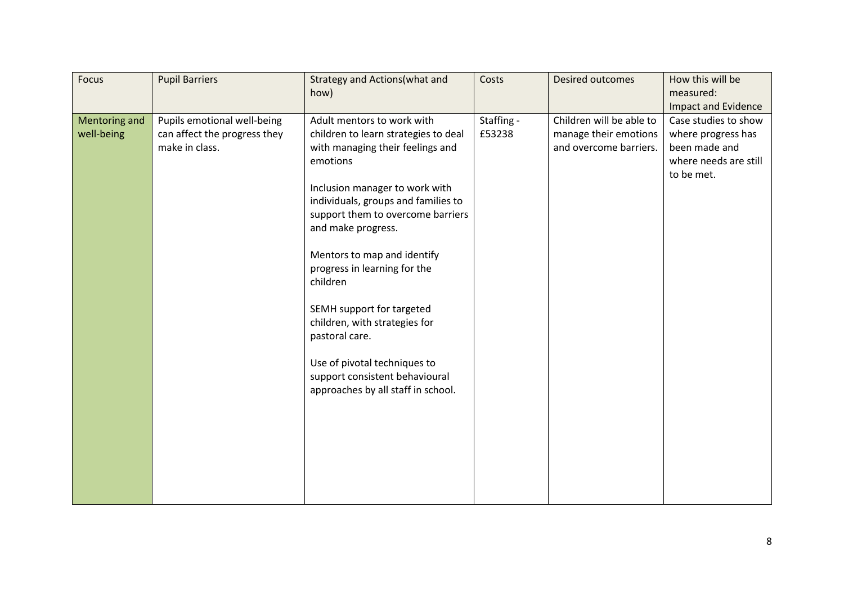| <b>Focus</b>                | <b>Pupil Barriers</b>                                                         | Strategy and Actions (what and<br>how)                                                                                                                                                                                                                                                                                                                                                                                                                                                                                    | Costs                | <b>Desired outcomes</b>                                                     | How this will be<br>measured:<br><b>Impact and Evidence</b>                                        |
|-----------------------------|-------------------------------------------------------------------------------|---------------------------------------------------------------------------------------------------------------------------------------------------------------------------------------------------------------------------------------------------------------------------------------------------------------------------------------------------------------------------------------------------------------------------------------------------------------------------------------------------------------------------|----------------------|-----------------------------------------------------------------------------|----------------------------------------------------------------------------------------------------|
| Mentoring and<br>well-being | Pupils emotional well-being<br>can affect the progress they<br>make in class. | Adult mentors to work with<br>children to learn strategies to deal<br>with managing their feelings and<br>emotions<br>Inclusion manager to work with<br>individuals, groups and families to<br>support them to overcome barriers<br>and make progress.<br>Mentors to map and identify<br>progress in learning for the<br>children<br>SEMH support for targeted<br>children, with strategies for<br>pastoral care.<br>Use of pivotal techniques to<br>support consistent behavioural<br>approaches by all staff in school. | Staffing -<br>£53238 | Children will be able to<br>manage their emotions<br>and overcome barriers. | Case studies to show<br>where progress has<br>been made and<br>where needs are still<br>to be met. |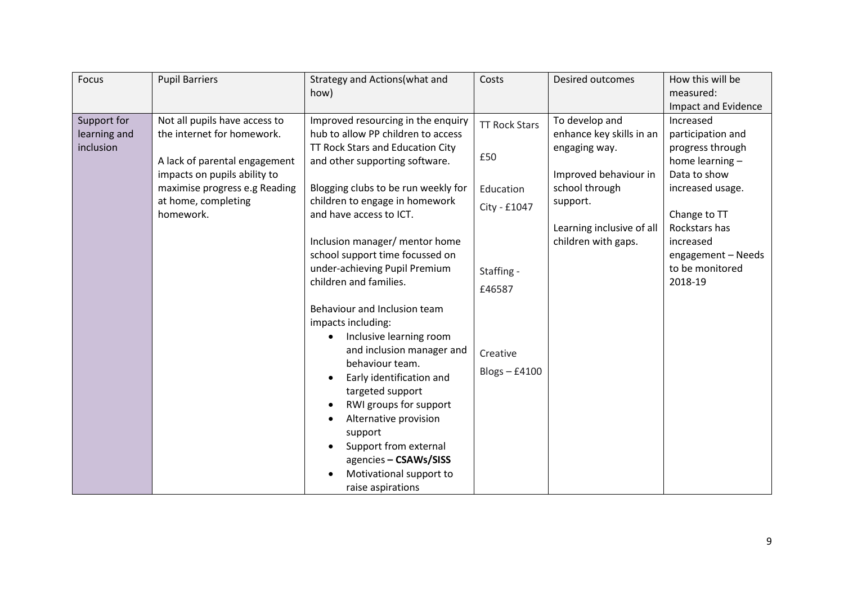| Focus        | <b>Pupil Barriers</b>         | Strategy and Actions(what and       | Costs                | Desired outcomes          | How this will be    |
|--------------|-------------------------------|-------------------------------------|----------------------|---------------------------|---------------------|
|              |                               | how)                                |                      |                           | measured:           |
|              |                               |                                     |                      |                           | Impact and Evidence |
| Support for  | Not all pupils have access to | Improved resourcing in the enquiry  | <b>TT Rock Stars</b> | To develop and            | Increased           |
| learning and | the internet for homework.    | hub to allow PP children to access  |                      | enhance key skills in an  | participation and   |
| inclusion    |                               | TT Rock Stars and Education City    |                      | engaging way.             | progress through    |
|              | A lack of parental engagement | and other supporting software.      | £50                  |                           | home learning -     |
|              | impacts on pupils ability to  |                                     |                      | Improved behaviour in     | Data to show        |
|              | maximise progress e.g Reading | Blogging clubs to be run weekly for | Education            | school through            | increased usage.    |
|              | at home, completing           | children to engage in homework      | City - £1047         | support.                  |                     |
|              | homework.                     | and have access to ICT.             |                      |                           | Change to TT        |
|              |                               |                                     |                      | Learning inclusive of all | Rockstars has       |
|              |                               | Inclusion manager/ mentor home      |                      | children with gaps.       | increased           |
|              |                               | school support time focussed on     |                      |                           | engagement - Needs  |
|              |                               | under-achieving Pupil Premium       | Staffing -           |                           | to be monitored     |
|              |                               | children and families.              | £46587               |                           | 2018-19             |
|              |                               |                                     |                      |                           |                     |
|              |                               | Behaviour and Inclusion team        |                      |                           |                     |
|              |                               | impacts including:                  |                      |                           |                     |
|              |                               | Inclusive learning room             |                      |                           |                     |
|              |                               | and inclusion manager and           | Creative             |                           |                     |
|              |                               | behaviour team.                     | $Blogs - £4100$      |                           |                     |
|              |                               | Early identification and            |                      |                           |                     |
|              |                               | targeted support                    |                      |                           |                     |
|              |                               | RWI groups for support              |                      |                           |                     |
|              |                               | Alternative provision               |                      |                           |                     |
|              |                               | support                             |                      |                           |                     |
|              |                               | Support from external               |                      |                           |                     |
|              |                               | agencies - CSAWs/SISS               |                      |                           |                     |
|              |                               | Motivational support to             |                      |                           |                     |
|              |                               | raise aspirations                   |                      |                           |                     |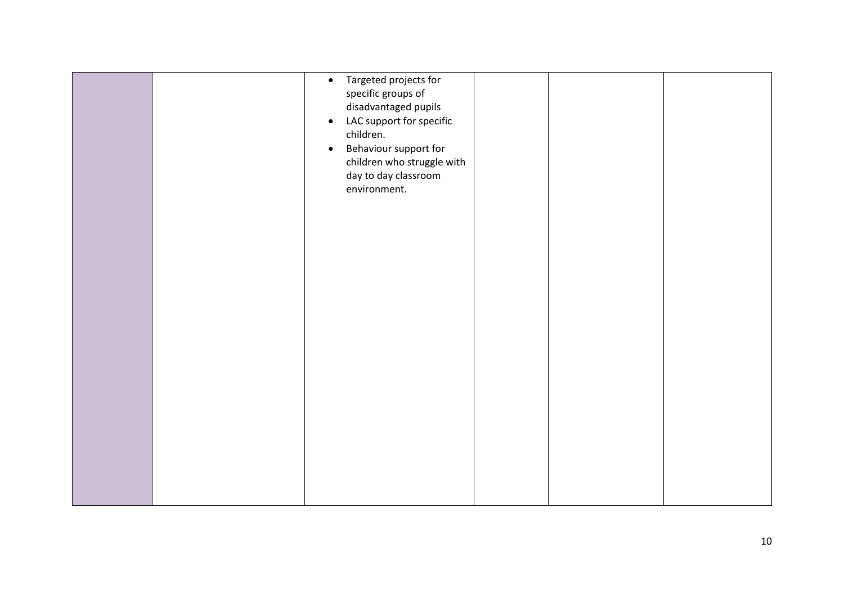|  | Targeted projects for<br>$\bullet$<br>specific groups of<br>disadvantaged pupils<br>LAC support for specific<br>$\bullet$<br>children.<br>Behaviour support for<br>$\bullet$<br>children who struggle with<br>day to day classroom<br>environment. |  |  |
|--|----------------------------------------------------------------------------------------------------------------------------------------------------------------------------------------------------------------------------------------------------|--|--|
|  |                                                                                                                                                                                                                                                    |  |  |
|  |                                                                                                                                                                                                                                                    |  |  |
|  |                                                                                                                                                                                                                                                    |  |  |
|  |                                                                                                                                                                                                                                                    |  |  |
|  |                                                                                                                                                                                                                                                    |  |  |
|  |                                                                                                                                                                                                                                                    |  |  |
|  |                                                                                                                                                                                                                                                    |  |  |
|  |                                                                                                                                                                                                                                                    |  |  |
|  |                                                                                                                                                                                                                                                    |  |  |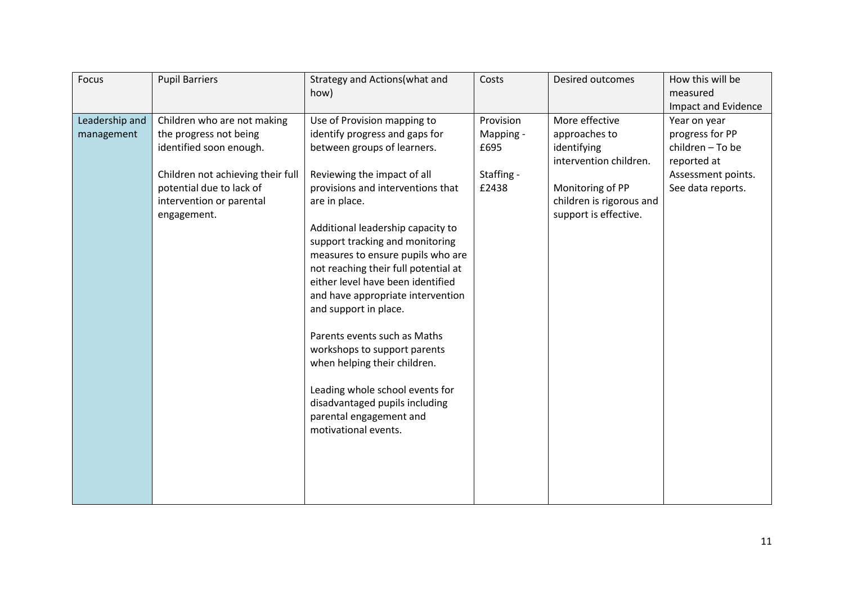| Focus<br><b>Pupil Barriers</b>                                                                                                                                                                                               | Strategy and Actions(what and<br>how)                                                                                                                                                                                                                                                                                                                                                                                                                                                                                                                                                                                                                             | Costs                                                 | Desired outcomes                                                                                                                                  | How this will be<br>measured<br>Impact and Evidence                                                           |
|------------------------------------------------------------------------------------------------------------------------------------------------------------------------------------------------------------------------------|-------------------------------------------------------------------------------------------------------------------------------------------------------------------------------------------------------------------------------------------------------------------------------------------------------------------------------------------------------------------------------------------------------------------------------------------------------------------------------------------------------------------------------------------------------------------------------------------------------------------------------------------------------------------|-------------------------------------------------------|---------------------------------------------------------------------------------------------------------------------------------------------------|---------------------------------------------------------------------------------------------------------------|
| Leadership and<br>Children who are not making<br>the progress not being<br>management<br>identified soon enough.<br>Children not achieving their full<br>potential due to lack of<br>intervention or parental<br>engagement. | Use of Provision mapping to<br>identify progress and gaps for<br>between groups of learners.<br>Reviewing the impact of all<br>provisions and interventions that<br>are in place.<br>Additional leadership capacity to<br>support tracking and monitoring<br>measures to ensure pupils who are<br>not reaching their full potential at<br>either level have been identified<br>and have appropriate intervention<br>and support in place.<br>Parents events such as Maths<br>workshops to support parents<br>when helping their children.<br>Leading whole school events for<br>disadvantaged pupils including<br>parental engagement and<br>motivational events. | Provision<br>Mapping -<br>£695<br>Staffing -<br>£2438 | More effective<br>approaches to<br>identifying<br>intervention children.<br>Monitoring of PP<br>children is rigorous and<br>support is effective. | Year on year<br>progress for PP<br>children - To be<br>reported at<br>Assessment points.<br>See data reports. |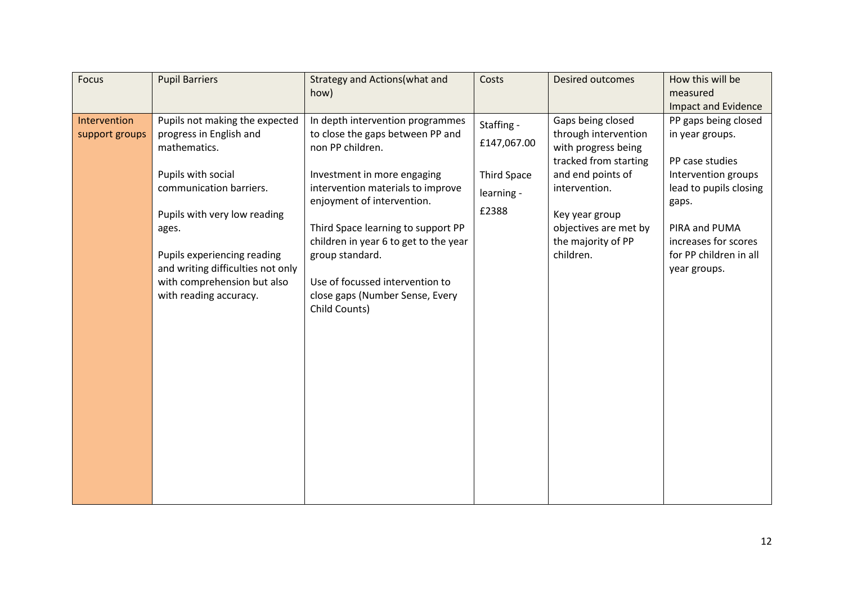| Focus                          | <b>Pupil Barriers</b>                                                                                                                                                                                               | Strategy and Actions(what and<br>how)                                                                                                                                                                                                                                                   | Costs                                     | <b>Desired outcomes</b>                                                                                          | How this will be<br>measured<br>Impact and Evidence                                                                                       |
|--------------------------------|---------------------------------------------------------------------------------------------------------------------------------------------------------------------------------------------------------------------|-----------------------------------------------------------------------------------------------------------------------------------------------------------------------------------------------------------------------------------------------------------------------------------------|-------------------------------------------|------------------------------------------------------------------------------------------------------------------|-------------------------------------------------------------------------------------------------------------------------------------------|
| Intervention<br>support groups | Pupils not making the expected<br>progress in English and<br>mathematics.                                                                                                                                           | In depth intervention programmes<br>to close the gaps between PP and<br>non PP children.                                                                                                                                                                                                | Staffing -<br>£147,067.00                 | Gaps being closed<br>through intervention<br>with progress being<br>tracked from starting                        | PP gaps being closed<br>in year groups.<br>PP case studies                                                                                |
|                                | Pupils with social<br>communication barriers.<br>Pupils with very low reading<br>ages.<br>Pupils experiencing reading<br>and writing difficulties not only<br>with comprehension but also<br>with reading accuracy. | Investment in more engaging<br>intervention materials to improve<br>enjoyment of intervention.<br>Third Space learning to support PP<br>children in year 6 to get to the year<br>group standard.<br>Use of focussed intervention to<br>close gaps (Number Sense, Every<br>Child Counts) | <b>Third Space</b><br>learning -<br>£2388 | and end points of<br>intervention.<br>Key year group<br>objectives are met by<br>the majority of PP<br>children. | Intervention groups<br>lead to pupils closing<br>gaps.<br>PIRA and PUMA<br>increases for scores<br>for PP children in all<br>year groups. |